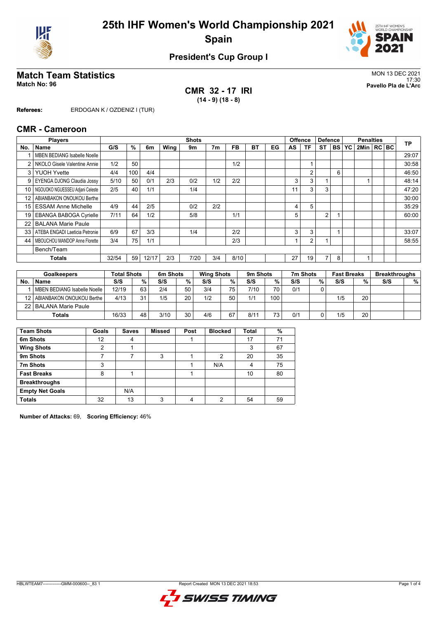



### **President's Cup Group I**

# Match Team Statistics<br>Match No: 96<br>Pavello Pla de L'Arc

**CMR 32 - 17 IRI (14 - 9) (18 - 8)**

17:30 **Match No: 96 Pavello Pla de L'Arc**

**Referees:** ERDOGAN K / OZDENIZ I (TUR)

#### **CMR - Cameroon**

|      | <b>Players</b>                      |       |     |       |      | <b>Shots</b> |                |      |    |    |    | <b>Offence</b> | <b>Defence</b> |           | <b>Penalties</b> |              | <b>TP</b> |       |
|------|-------------------------------------|-------|-----|-------|------|--------------|----------------|------|----|----|----|----------------|----------------|-----------|------------------|--------------|-----------|-------|
| No.  | <b>Name</b>                         | G/S   | %   | 6m    | Wing | 9m           | 7 <sub>m</sub> | FB   | ВT | EG | AS | ΤF             | ST             | <b>BS</b> | YC               | 2Min   RC BC |           |       |
|      | <b>MBEN BEDIANG Isabelle Noelle</b> |       |     |       |      |              |                |      |    |    |    |                |                |           |                  |              |           | 29:07 |
| 2    | NKOLO Gisele Valentine Annie        | 1/2   | 50  |       |      |              |                | 1/2  |    |    |    |                |                |           |                  |              |           | 30:58 |
| 3    | <b>YUOH Yvette</b>                  | 4/4   | 100 | 4/4   |      |              |                |      |    |    |    | $\overline{2}$ |                | 6         |                  |              |           | 46:50 |
|      | 9   EYENGA DJONG Claudia Jossy      | 5/10  | 50  | 0/1   | 2/3  | 0/2          | 1/2            | 2/2  |    |    | 3  | 3              |                |           |                  |              |           | 48:14 |
| 10 l | NGOUOKO NGUESSEU Adjani Celeste     | 2/5   | 40  | 1/1   |      | 1/4          |                |      |    |    | 11 | 3              | 3              |           |                  |              |           | 47:20 |
| 12   | ABIANBAKON ONOUKOU Berthe           |       |     |       |      |              |                |      |    |    |    |                |                |           |                  |              |           | 30:00 |
| 15   | <b>ESSAM Anne Michelle</b>          | 4/9   | 44  | 2/5   |      | 0/2          | 2/2            |      |    |    | 4  | 5              |                |           |                  |              |           | 35:29 |
| 19   | <b>EBANGA BABOGA Cyrielle</b>       | 7/11  | 64  | 1/2   |      | 5/8          |                | 1/1  |    |    | 5  |                | $\overline{2}$ |           |                  |              |           | 60:00 |
| 22   | <b>BALANA Marie Paule</b>           |       |     |       |      |              |                |      |    |    |    |                |                |           |                  |              |           |       |
| 33 I | ATEBA ENGADI Laeticia Petronie      | 6/9   | 67  | 3/3   |      | 1/4          |                | 2/2  |    |    | 3  | 3              |                |           |                  |              |           | 33:07 |
| 44   | MBOUCHOU MANDOP Anne Florette       | 3/4   | 75  | 1/1   |      |              |                | 2/3  |    |    |    | 2              | и              |           |                  |              |           | 58:55 |
|      | Bench/Team                          |       |     |       |      |              |                |      |    |    |    |                |                |           |                  |              |           |       |
|      | <b>Totals</b>                       | 32/54 | 59  | 12/17 | 2/3  | 7/20         | 3/4            | 8/10 |    |    | 27 | 19             | 7              | 8         |                  |              |           |       |
|      |                                     |       |     |       |      |              |                |      |    |    |    |                |                |           |                  |              |           |       |

| <b>Goalkeepers</b> |                                  | <b>Total Shots</b> |    | 6m Shots |                 | <b>Wing Shots</b> |                 | 9 <sub>m</sub> Shots |     | 7m Shots |   | <b>Fast Breaks</b> |    | <b>Breakthroughs</b> |      |
|--------------------|----------------------------------|--------------------|----|----------|-----------------|-------------------|-----------------|----------------------|-----|----------|---|--------------------|----|----------------------|------|
| No.                | <b>Name</b>                      | S/S                | %  | S/S      | %               | S/S               | %               | S/S                  | %   | S/S      | % | S/S                | %  | S/S                  | $\%$ |
|                    | MBEN BEDIANG Isabelle Noelle     | 12/19              | 63 | 2/4      | 50 <sub>1</sub> | 3/4               | 75 <sub>1</sub> | 7/10                 | 70  | 0/1      |   |                    |    |                      |      |
|                    | 12   ABIANBAKON ONOUKOU Berthe ! | 4/13               | 31 | 1/5      | 20 <sub>1</sub> | 1/2               | 50              | 1/1                  | 100 |          |   | 1/5                | 20 |                      |      |
|                    | 22   BALANA Marie Paule          |                    |    |          |                 |                   |                 |                      |     |          |   |                    |    |                      |      |
|                    | Totals                           | 16/33              | 48 | 3/10     | 30              | 4/6               | 67              | 8/11                 | 73  | 0/1      |   | 1/5                | 20 |                      |      |

| <b>Team Shots</b>      | Goals | <b>Saves</b> | <b>Missed</b> | Post | <b>Blocked</b> | <b>Total</b> | %  |
|------------------------|-------|--------------|---------------|------|----------------|--------------|----|
| 6m Shots               | 12    | 4            |               |      |                | 17           | 71 |
| <b>Wing Shots</b>      | 2     |              |               |      |                | 3            | 67 |
| 9m Shots               |       |              | 3             |      | 2              | 20           | 35 |
| 7m Shots               | 3     |              |               |      | N/A            | 4            | 75 |
| <b>Fast Breaks</b>     | 8     |              |               |      |                | 10           | 80 |
| <b>Breakthroughs</b>   |       |              |               |      |                |              |    |
| <b>Empty Net Goals</b> |       | N/A          |               |      |                |              |    |
| <b>Totals</b>          | 32    | 13           | 3             |      | ◠              | 54           | 59 |

**Number of Attacks:** 69, **Scoring Efficiency:** 46%

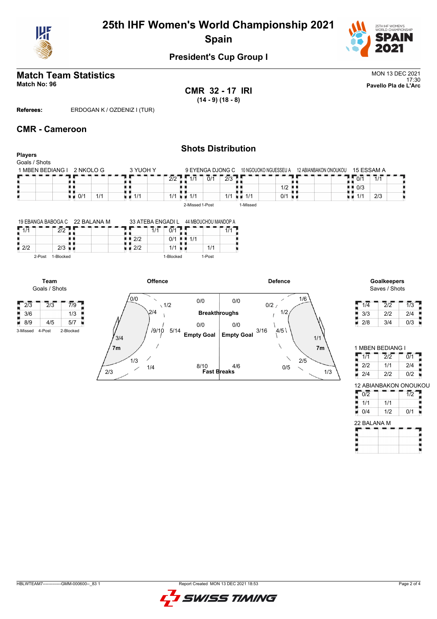

# **25th IHF Women's World Championship 2021 Spain**



### **President's Cup Group I**

#### **Match Team Statistics** MON 13 DEC 2021 17:30 **Match No: 96 Pavello Pla de L'Arc**

**CMR 32 - 17 IRI (14 - 9) (18 - 8)**

**Referees:** ERDOGAN K / OZDENIZ I (TUR)

#### **CMR - Cameroon**

**Team** Goals / Shots

 $\frac{1}{2}$  2/3  $\frac{1}{2}$  7/9  $\frac{3}{6}$   $\frac{1}{3}$   $\frac{3}{6}$   $\frac{1}{3}$   $\frac{1}{3}$   $\frac{1}{3}$   $\frac{1}{3}$   $\frac{1}{3}$   $\frac{1}{3}$   $\frac{1}{3}$   $\frac{1}{3}$   $\frac{1}{3}$   $\frac{1}{3}$   $\frac{1}{3}$   $\frac{1}{3}$   $\frac{1}{3}$   $\frac{1}{3}$   $\frac{1}{3}$   $\frac{1}{3}$   $\frac{1}{3}$   $\frac{1}{3}$   $\frac{1}{3}$  8/9 4/5 5/7 3-Missed 4-Post 2-Blocked

٠

#### **Shots Distribution Players** Goals / Shots  $3$  YUOH Y 1 MBEN BEDIANG I 2 NKOLO G 9 EYENGA DJONG C 10 NGOUOKO NGUESSEU A 12 ABIANBAKON ONOUKOU 15 ESSAM A  $2/2$   $\sqrt{1/1}$  $\frac{2}{2}$ <br>1/1  $\frac{1}{1/1}$  1/1  $\frac{1}{1/1}$  $1/1$  0/1 2/3  $10/1$  1/1 89 0/1 1/1  $\frac{1}{2}$ <br> $\frac{1}{2}$ <br> $\frac{1}{2}$ <br> $\frac{1}{2}$ . .  $0/3$  $\frac{1}{1/1}$   $\frac{1}{1}$   $\frac{1}{1/1}$  $1/1$  $1/1$  2/3 2-Missed 1-Post 1-Missed

|        |           | 19 EBANGA BABOGA C 22 BALANA M |     | 33 ATEBA ENGADI L | 44 MBOUCHOU MANDOP A |        |  |  |  |  |
|--------|-----------|--------------------------------|-----|-------------------|----------------------|--------|--|--|--|--|
|        | $\sim$    |                                |     |                   |                      |        |  |  |  |  |
|        |           |                                | つりつ | 0/1               |                      |        |  |  |  |  |
| 12/2   | つパ        |                                | 212 |                   |                      | 1/1    |  |  |  |  |
| 2-Post | I-Blocked |                                |     | 1-Blocked         |                      | 1-Post |  |  |  |  |

**Offence Defence Goalkeepers** 1/6 0/0 0/0 0/0  $12/$  $\sim$  1/2  $1/2$  $\sqrt{2/4}$ **Breakthroughs** 0/0 0/0  $\overline{1}$  $3/16$   $4/5$ 9/10 5/14 **Empty Goal Empty Goal**  $'3/4$ 1/1 **7m 7m** 1/3 2/5 1/4 0/5 **Fast Breaks** 8/10 4/6 2/3 1/3

# Saves / Shots

| 1/4 | 2/2 | 1/3 |
|-----|-----|-----|
| 3/3 | 2/2 | 2/4 |
| 2/8 | 3/4 | 0/3 |

| 1 MBEN BEDIANG I |     |     |
|------------------|-----|-----|
| 1/1              | 212 | 0/1 |
| 2/2              | 1/1 | 2/4 |
| 2/4              | 212 | 012 |

| 12 ABIANBAKON ONOUKOU |     |     |  |  |  |  |  |  |  |  |  |  |
|-----------------------|-----|-----|--|--|--|--|--|--|--|--|--|--|
| 012                   |     | 1/2 |  |  |  |  |  |  |  |  |  |  |
| 1/1                   | 1/1 |     |  |  |  |  |  |  |  |  |  |  |
| 0/4                   | 1/2 | 0/1 |  |  |  |  |  |  |  |  |  |  |
| 22 RAI ANA M          |     |     |  |  |  |  |  |  |  |  |  |  |

| 22 BALANA M |  |  |  |  |  |  |  |  |  |  |  |  |
|-------------|--|--|--|--|--|--|--|--|--|--|--|--|
|             |  |  |  |  |  |  |  |  |  |  |  |  |
|             |  |  |  |  |  |  |  |  |  |  |  |  |
|             |  |  |  |  |  |  |  |  |  |  |  |  |
|             |  |  |  |  |  |  |  |  |  |  |  |  |

| 2/4      |              | <b>Breakthroughs</b> |     |              |
|----------|--------------|----------------------|-----|--------------|
| 0/0      | $\sqrt{1/2}$ | 0/0                  | 0/0 | $\mathbf{0}$ |
|          | Offence      |                      |     |              |
|          | 1-Blocked    | 1-Post               |     |              |
| H<br>2/2 | 1/1          | 1/1                  |     |              |
| 2/2      | 0/1<br>ш     | 1/1                  |     |              |

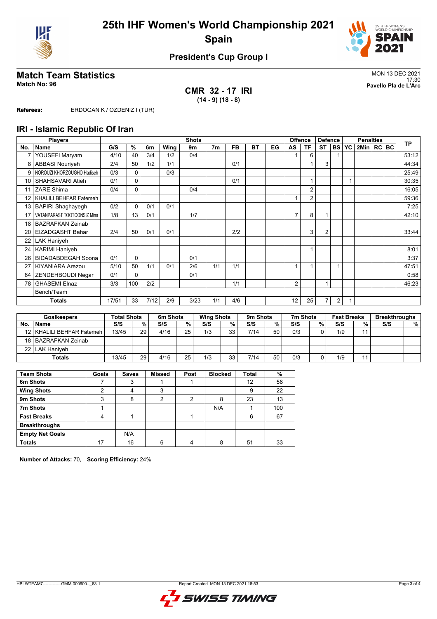



### **President's Cup Group I**

**CMR 32 - 17 IRI (14 - 9) (18 - 8)**

Match Team Statistics<br>Match No: 96<br>Pavello Pla de L'Arc 17:30 **Match No: 96 Pavello Pla de L'Arc**

**Referees:** ERDOGAN K / OZDENIZ I (TUR)

#### **IRI - Islamic Republic Of Iran**

|                 | <b>Players</b>              |       |             |      |      | <b>Shots</b> |     |           |    |    |    | <b>Offence</b> | <b>Defence</b> |           | <b>Penalties</b> |              | <b>TP</b> |       |
|-----------------|-----------------------------|-------|-------------|------|------|--------------|-----|-----------|----|----|----|----------------|----------------|-----------|------------------|--------------|-----------|-------|
| No.             | Name                        | G/S   | %           | 6m   | Wing | 9m           | 7m  | <b>FB</b> | BT | EG | AS | TF             | <b>ST</b>      | <b>BS</b> | <b>YC</b>        | 2Min   RC BC |           |       |
| 7               | YOUSEFI Maryam              | 4/10  | 40          | 3/4  | 1/2  | 0/4          |     |           |    |    |    | 6              |                |           |                  |              |           | 53:12 |
| 8               | <b>ABBASI Nouriveh</b>      | 2/4   | 50          | 1/2  | 1/1  |              |     | 0/1       |    |    |    |                | 3              |           |                  |              |           | 44:34 |
| 9               | NOROUZI KHORZOUGHO Hadiseh  | 0/3   | $\Omega$    |      | 0/3  |              |     |           |    |    |    |                |                |           |                  |              |           | 25:49 |
| 10              | SHAHSAVARI Atieh            | 0/1   | $\mathbf 0$ |      |      |              |     | 0/1       |    |    |    | 1              |                |           |                  |              |           | 30:35 |
| 11              | ZARE Shima                  | 0/4   | $\Omega$    |      |      | 0/4          |     |           |    |    |    | $\overline{2}$ |                |           |                  |              |           | 16:05 |
| 12 <sup>°</sup> | KHALILI BEHFAR Fatemeh      |       |             |      |      |              |     |           |    |    |    | $\overline{2}$ |                |           |                  |              |           | 59:36 |
| 13              | <b>BAPIRI Shaghayegh</b>    | 0/2   | $\Omega$    | 0/1  | 0/1  |              |     |           |    |    |    |                |                |           |                  |              |           | 7:25  |
| 17              | VATANPARAST TOOTOONSIZ Mina | 1/8   | 13          | 0/1  |      | 1/7          |     |           |    |    | 7  | 8              |                |           |                  |              |           | 42:10 |
| 18              | <b>BAZRAFKAN Zeinab</b>     |       |             |      |      |              |     |           |    |    |    |                |                |           |                  |              |           |       |
| 20              | <b>EIZADGASHT Bahar</b>     | 2/4   | 50          | 0/1  | 0/1  |              |     | 2/2       |    |    |    | 3              | $\overline{2}$ |           |                  |              |           | 33:44 |
| 22              | <b>LAK Haniyeh</b>          |       |             |      |      |              |     |           |    |    |    |                |                |           |                  |              |           |       |
| 24              | <b>KARIMI Haniyeh</b>       |       |             |      |      |              |     |           |    |    |    | 1              |                |           |                  |              |           | 8:01  |
| 26              | <b>BIDADABDEGAH Soona</b>   | 0/1   | 0           |      |      | 0/1          |     |           |    |    |    |                |                |           |                  |              |           | 3:37  |
| 27              | <b>KIYANIARA Arezou</b>     | 5/10  | 50          | 1/1  | 0/1  | 2/6          | 1/1 | 1/1       |    |    | 1  |                |                |           |                  |              |           | 47:51 |
| 64              | ZENDEHBOUDI Negar           | 0/1   | $\Omega$    |      |      | 0/1          |     |           |    |    |    |                |                |           |                  |              |           | 0:58  |
| 78              | <b>GHASEMI Elnaz</b>        | 3/3   | 100         | 2/2  |      |              |     | 1/1       |    |    | 2  |                | 1              |           |                  |              |           | 46:23 |
|                 | Bench/Team                  |       |             |      |      |              |     |           |    |    |    |                |                |           |                  |              |           |       |
|                 | <b>Totals</b>               | 17/51 | 33          | 7/12 | 2/9  | 3/23         | 1/1 | 4/6       |    |    | 12 | 25             | 7              | 2         |                  |              |           |       |

| <b>Goalkeepers</b> |                             | <b>Total Shots</b> |    |      | 6m Shots |     | <b>Wing Shots</b> |      | 9 <sub>m</sub> Shots |     | 7m Shots | <b>Fast Breaks</b> |       | <b>Breakthroughs</b> |   |
|--------------------|-----------------------------|--------------------|----|------|----------|-----|-------------------|------|----------------------|-----|----------|--------------------|-------|----------------------|---|
| No.                | <b>Name</b>                 | S/S                | %  | S/S  | %        | S/S | %                 | S/S  | %                    | S/S | %        | S/S                | %     | S/S                  | % |
|                    | 12   KHALILI BEHFAR Fatemeh | 13/45              | 29 | 4/16 | 25       | 1/3 | 33                | 7/14 | 50                   | 0/3 | ∩        | 1/9                | 11    |                      |   |
|                    | 18   BAZRAFKAN Zeinab       |                    |    |      |          |     |                   |      |                      |     |          |                    |       |                      |   |
|                    | 22   LAK Haniyeh            |                    |    |      |          |     |                   |      |                      |     |          |                    |       |                      |   |
|                    | <b>Totals</b>               | 13/45              | 29 | 4/16 | 25       | 1/3 | 33                | 7/14 | 50                   | 0/3 | ◠        | 1/9                | $-11$ |                      |   |

| <b>Team Shots</b>      | Goals | <b>Saves</b> | Missed | Post | <b>Blocked</b> | <b>Total</b> | %   |
|------------------------|-------|--------------|--------|------|----------------|--------------|-----|
| 6m Shots               |       | 3            |        |      |                | 12           | 58  |
| <b>Wing Shots</b>      | っ     | 4            | 3      |      |                | 9            | 22  |
| 9m Shots               | 3     | 8            | 2      | 2    | 8              | 23           | 13  |
| 7m Shots               |       |              |        |      | N/A            |              | 100 |
| <b>Fast Breaks</b>     | 4     |              |        |      |                | 6            | 67  |
| <b>Breakthroughs</b>   |       |              |        |      |                |              |     |
| <b>Empty Net Goals</b> |       | N/A          |        |      |                |              |     |
| <b>Totals</b>          | 17    | 16           | 6      |      | 8              | 51           | 33  |

**Number of Attacks:** 70, **Scoring Efficiency:** 24%